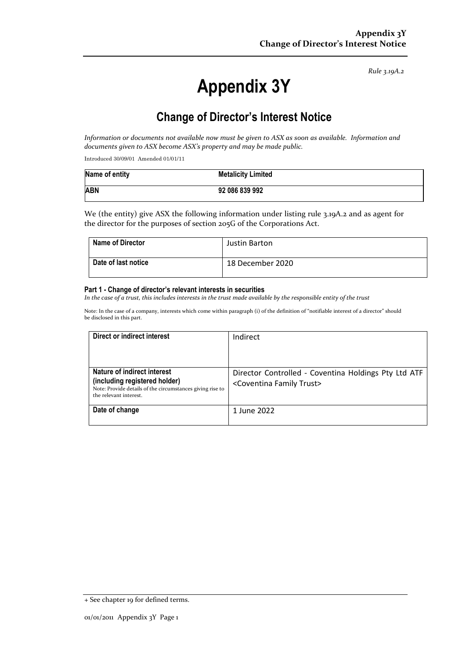*Rule 3.19A.2*

# **Appendix 3Y**

# **Change of Director's Interest Notice**

*Information or documents not available now must be given to ASX as soon as available. Information and documents given to ASX become ASX's property and may be made public.*

Introduced 30/09/01 Amended 01/01/11

| Name of entity | <b>Metalicity Limited</b> |
|----------------|---------------------------|
| <b>ABN</b>     | 92 086 839 992            |

We (the entity) give ASX the following information under listing rule 3.19A.2 and as agent for the director for the purposes of section 205G of the Corporations Act.

| <b>Name of Director</b> | Justin Barton    |
|-------------------------|------------------|
| Date of last notice     | 18 December 2020 |

#### **Part 1 - Change of director's relevant interests in securities**

*In the case of a trust, this includes interests in the trust made available by the responsible entity of the trust*

Note: In the case of a company, interests which come within paragraph (i) of the definition of "notifiable interest of a director" should be disclosed in this part.

| Direct or indirect interest                                                                                                                         | Indirect                                                                                           |
|-----------------------------------------------------------------------------------------------------------------------------------------------------|----------------------------------------------------------------------------------------------------|
| Nature of indirect interest<br>(including registered holder)<br>Note: Provide details of the circumstances giving rise to<br>the relevant interest. | Director Controlled - Coventina Holdings Pty Ltd ATF<br><coventina family="" trust=""></coventina> |
| Date of change                                                                                                                                      | 1 June 2022                                                                                        |

<sup>+</sup> See chapter 19 for defined terms.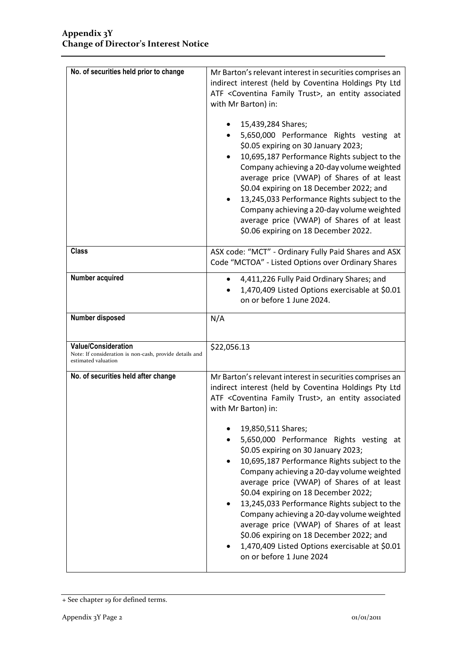| No. of securities held prior to change                                                                       | Mr Barton's relevant interest in securities comprises an<br>indirect interest (held by Coventina Holdings Pty Ltd<br>ATF <coventina family="" trust="">, an entity associated<br/>with Mr Barton) in:<br/>15,439,284 Shares;<br/>5,650,000 Performance Rights vesting at<br/>\$0.05 expiring on 30 January 2023;<br/>10,695,187 Performance Rights subject to the<br/>Company achieving a 20-day volume weighted<br/>average price (VWAP) of Shares of at least<br/>\$0.04 expiring on 18 December 2022; and<br/>13,245,033 Performance Rights subject to the<br/>Company achieving a 20-day volume weighted<br/>average price (VWAP) of Shares of at least<br/>\$0.06 expiring on 18 December 2022.</coventina>                                                                                 |
|--------------------------------------------------------------------------------------------------------------|--------------------------------------------------------------------------------------------------------------------------------------------------------------------------------------------------------------------------------------------------------------------------------------------------------------------------------------------------------------------------------------------------------------------------------------------------------------------------------------------------------------------------------------------------------------------------------------------------------------------------------------------------------------------------------------------------------------------------------------------------------------------------------------------------|
| <b>Class</b>                                                                                                 | ASX code: "MCT" - Ordinary Fully Paid Shares and ASX<br>Code "MCTOA" - Listed Options over Ordinary Shares                                                                                                                                                                                                                                                                                                                                                                                                                                                                                                                                                                                                                                                                                       |
| Number acquired                                                                                              | 4,411,226 Fully Paid Ordinary Shares; and<br>1,470,409 Listed Options exercisable at \$0.01<br>on or before 1 June 2024.                                                                                                                                                                                                                                                                                                                                                                                                                                                                                                                                                                                                                                                                         |
| Number disposed                                                                                              | N/A                                                                                                                                                                                                                                                                                                                                                                                                                                                                                                                                                                                                                                                                                                                                                                                              |
| <b>Value/Consideration</b><br>Note: If consideration is non-cash, provide details and<br>estimated valuation | \$22,056.13                                                                                                                                                                                                                                                                                                                                                                                                                                                                                                                                                                                                                                                                                                                                                                                      |
| No. of securities held after change                                                                          | Mr Barton's relevant interest in securities comprises an<br>indirect interest (held by Coventina Holdings Pty Ltd<br>ATF <coventina family="" trust="">, an entity associated<br/>with Mr Barton) in:<br/>19,850,511 Shares;<br/>5,650,000 Performance Rights vesting at<br/>\$0.05 expiring on 30 January 2023;<br/>10,695,187 Performance Rights subject to the<br/>Company achieving a 20-day volume weighted<br/>average price (VWAP) of Shares of at least<br/>\$0.04 expiring on 18 December 2022;<br/>13,245,033 Performance Rights subject to the<br/>Company achieving a 20-day volume weighted<br/>average price (VWAP) of Shares of at least<br/>\$0.06 expiring on 18 December 2022; and<br/>1,470,409 Listed Options exercisable at \$0.01<br/>on or before 1 June 2024</coventina> |

<sup>+</sup> See chapter 19 for defined terms.